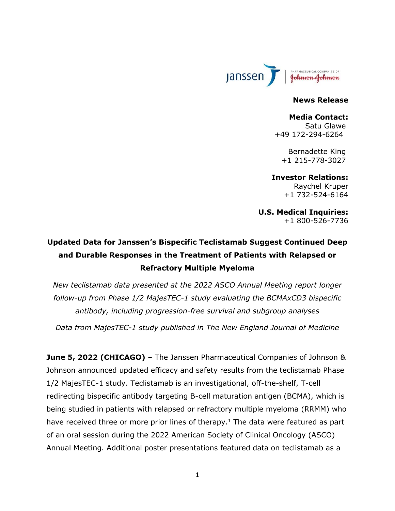

#### **News Release**

**Media Contact:** Satu Glawe +49 172-294-6264

Bernadette King +1 215-778-3027

**Investor Relations:** Raychel Kruper +1 732-524-6164

**U.S. Medical Inquiries:** +1 800-526-7736

# **Updated Data for Janssen's Bispecific Teclistamab Suggest Continued Deep and Durable Responses in the Treatment of Patients with Relapsed or Refractory Multiple Myeloma**

*New teclistamab data presented at the 2022 ASCO Annual Meeting report longer follow-up from Phase 1/2 MajesTEC-1 study evaluating the BCMAxCD3 bispecific antibody, including progression-free survival and subgroup analyses*

*Data from MajesTEC-1 study published in The New England Journal of Medicine*

**June 5, 2022 (CHICAGO)** – The Janssen Pharmaceutical Companies of Johnson & Johnson announced updated efficacy and safety results from the teclistamab Phase 1/2 MajesTEC-1 study. Teclistamab is an investigational, off-the-shelf, T-cell redirecting bispecific antibody targeting B-cell maturation antigen (BCMA), which is being studied in patients with relapsed or refractory multiple myeloma (RRMM) who have received three or more prior lines of therapy.<sup>1</sup> The data were featured as part of an oral session during the 2022 American Society of Clinical Oncology (ASCO) Annual Meeting. Additional poster presentations featured data on teclistamab as a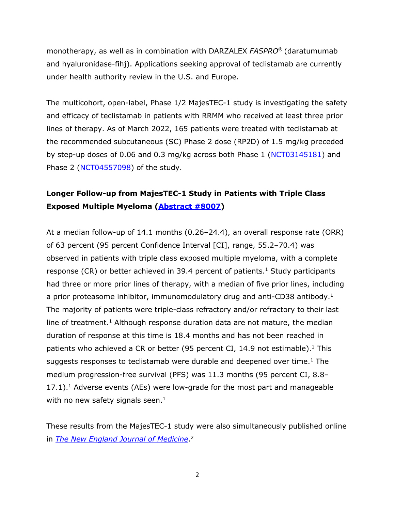monotherapy, as well as in combination with DARZALEX *FASPRO®* (daratumumab and hyaluronidase-fihj). Applications seeking approval of teclistamab are currently under health authority review in the U.S. and Europe.

The multicohort, open-label, Phase 1/2 MajesTEC-1 study is investigating the safety and efficacy of teclistamab in patients with RRMM who received at least three prior lines of therapy. As of March 2022, 165 patients were treated with teclistamab at the recommended subcutaneous (SC) Phase 2 dose (RP2D) of 1.5 mg/kg preceded by step-up doses of 0.06 and 0.3 mg/kg across both Phase 1 [\(NCT03145181\)](https://clinicaltrials.gov/ct2/show/NCT03145181) and Phase 2 [\(NCT04557098\)](https://clinicaltrials.gov/ct2/show/NCT04557098) of the study.

## **Longer Follow-up from MajesTEC-1 Study in Patients with Triple Class Exposed Multiple Myeloma [\(Abstract #8007\)](https://meetings.asco.org/abstracts-presentations/207306)**

<span id="page-1-0"></span>At a median follow-up of 14.1 months (0.26–24.4), an overall response rate (ORR) of 63 percent (95 percent Confidence Interval [CI], range, 55.2–70.4) was observed in patients with triple class exposed multiple myeloma, with a complete response (CR) or better achieved in 39.4 percent of patients.<sup>1</sup> Study participants had three or more prior lines of therapy, with a median of five prior lines, including a prior proteasome inhibitor, immunomodulatory drug and anti-CD38 antibody.<sup>1</sup> The majority of patients were triple-class refractory and/or refractory to their last line of treatment.<sup>1</sup> Although response duration data are not mature, the median duration of response at this time is 18.4 months and has not been reached in patients who achieved a CR or better (95 percent CI, 14.9 not estimable).<sup>1</sup> This suggests responses to teclistamab were durable and deepened over time.<sup>1</sup> The medium progression-free survival (PFS) was 11.3 months (95 percent CI, 8.8– 17.1).<sup>1</sup> Adverse events (AEs) were low-grade for the most part and manageable with no new safety signals seen. $<sup>1</sup>$ </sup>

These results from the MajesTEC-1 study were also simultaneously published online in *[The New England Journal of Medicine](https://www.nejm.org/doi/full/10.1056/NEJMoa2203478)*. 2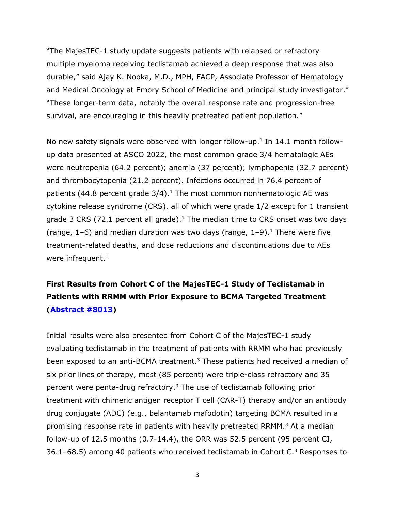"The MajesTEC-1 study update suggests patients with relapsed or refractory multiple myeloma receiving teclistamab achieved a deep response that was also durable," said Ajay K. Nooka, M.D., MPH, FACP, Associate Professor of Hematology and Medical Oncology at Emory School of Medicine and principal study investigator. ‡ "These longer-term data, notably the overall response rate and progression-free survival, are encouraging in this heavily pretreated patient population."

No new safety signals were observed with longer follow-up. $1$  In 14.1 month followup data presented at ASCO 2022, the most common grade 3/4 hematologic AEs were neutropenia (64.2 percent); anemia (37 percent); lymphopenia (32.7 percent) and thrombocytopenia (21.2 percent). Infections occurred in 76.4 percent of patients (44.8 percent grade  $3/4$ ).<sup>1</sup> The most common nonhematologic AE was cytokine release syndrome (CRS), all of which were grade 1/2 except for 1 transient grade 3 CRS (72.[1](#page-1-0) percent all grade).<sup>1</sup> The median time to CRS onset was two days (range,  $1-6$ ) and median duration was two days (range,  $1-9$ ).<sup>1</sup> There were five treatment-related deaths, and dose reductions and discontinuations due to AEs were infrequent.<sup>1</sup>

# **First Results from Cohort C of the MajesTEC-1 Study of Teclistamab in Patients with RRMM with Prior Exposure to BCMA Targeted Treatment [\(Abstract #8013\)](https://meetings.asco.org/abstracts-presentations/207362)**

Initial results were also presented from Cohort C of the MajesTEC-1 study evaluating teclistamab in the treatment of patients with RRMM who had previously been exposed to an anti-BCMA treatment.<sup>3</sup> These patients had received a median of six prior lines of therapy, most (85 percent) were triple-class refractory and 35 percent were penta-drug refractory.<sup>3</sup> The use of teclistamab following prior treatment with chimeric antigen receptor T cell (CAR-T) therapy and/or an antibody drug conjugate (ADC) (e.g., belantamab mafodotin) targeting BCMA resulted in a promising response rate in patients with heavily pretreated RRMM. <sup>3</sup> At a median follow-up of 12.5 months (0.7-14.4), the ORR was 52.5 percent (95 percent CI, 36.1–68.5) among 40 patients who received teclistamab in Cohort  $C<sup>3</sup>$  Responses to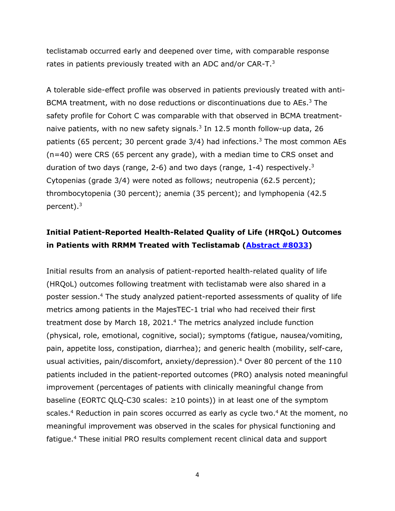teclistamab occurred early and deepened over time, with comparable response rates in patients previously treated with an ADC and/or CAR-T.<sup>3</sup>

A tolerable side-effect profile was observed in patients previously treated with anti-BCMA treatment, with no dose reductions or discontinuations due to AEs. <sup>3</sup> The safety profile for Cohort C was comparable with that observed in BCMA treatmentnaive patients, with no new safety signals. 3 In 12.5 month follow-up data, 26 patients (65 percent; 30 percent grade  $3/4$ ) had infections.<sup>3</sup> The most common AEs (n=40) were CRS (65 percent any grade), with a median time to CRS onset and duration of two days (range, 2-6) and two days (range, 1-4) respectively.<sup>3</sup> Cytopenias (grade 3/4) were noted as follows; neutropenia (62.5 percent); thrombocytopenia (30 percent); anemia (35 percent); and lymphopenia (42.5 percent).<sup>3</sup>

## **Initial Patient-Reported Health-Related Quality of Life (HRQoL) Outcomes in Patients with RRMM Treated with Teclistamab [\(Abstract #8033\)](https://meetings.asco.org/abstracts-presentations/207903)**

Initial results from an analysis of patient-reported health-related quality of life (HRQoL) outcomes following treatment with teclistamab were also shared in a poster session.<sup>4</sup> The study analyzed patient-reported assessments of quality of life metrics among patients in the MajesTEC-1 trial who had received their first treatment dose by March 18, 2021.<sup>4</sup> The metrics analyzed include function (physical, role, emotional, cognitive, social); symptoms (fatigue, nausea/vomiting, pain, appetite loss, constipation, diarrhea); and generic health (mobility, self-care, usual activities, pain/discomfort, anxiety/depression). <sup>4</sup> Over 80 percent of the 110 patients included in the patient-reported outcomes (PRO) analysis noted meaningful improvement (percentages of patients with clinically meaningful change from baseline (EORTC QLQ-C30 scales: ≥10 points)) in at least one of the symptom scales.<sup>4</sup> Reduction in pain scores occurred as early as cycle two.<sup>4</sup> At the moment, no meaningful improvement was observed in the scales for physical functioning and fatigue. <sup>4</sup> These initial PRO results complement recent clinical data and support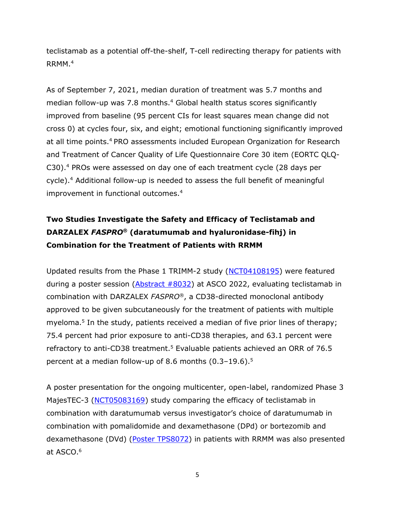teclistamab as a potential off-the-shelf, T-cell redirecting therapy for patients with RRMM.<sup>4</sup>

As of September 7, 2021, median duration of treatment was 5.7 months and median follow-up was 7.8 months.<sup>4</sup> Global health status scores significantly improved from baseline (95 percent CIs for least squares mean change did not cross 0) at cycles four, six, and eight; emotional functioning significantly improved at all time points.<sup>4</sup> PRO assessments included European Organization for Research and Treatment of Cancer Quality of Life Questionnaire Core 30 item (EORTC QLQ-C30). <sup>4</sup> PROs were assessed on day one of each treatment cycle (28 days per cycle).<sup>4</sup> Additional follow-up is needed to assess the full benefit of meaningful improvement in functional outcomes.<sup>4</sup>

# **Two Studies Investigate the Safety and Efficacy of Teclistamab and DARZALEX** *FASPRO®* **(daratumumab and hyaluronidase-fihj) in Combination for the Treatment of Patients with RRMM**

Updated results from the Phase 1 TRIMM-2 study [\(NCT04108195\)](https://www.clinicaltrials.gov/ct2/show/NCT04108195) were featured during a poster session  $(Abstract #8032)$  at ASCO 2022, evaluating teclistamab in combination with DARZALEX *FASPRO®*, a CD38-directed monoclonal antibody approved to be given subcutaneously for the treatment of patients with multiple myeloma.<sup>5</sup> In the study, patients received a median of five prior lines of therapy; 75.4 percent had prior exposure to anti-CD38 therapies, and 63.1 percent were refractory to anti-CD38 treatment.<sup>5</sup> Evaluable patients achieved an ORR of 76.5 percent at a median follow-up of 8.6 months (0.3–19.6). 5

A poster presentation for the ongoing multicenter, open-label, randomized Phase 3 MajesTEC-3 [\(NCT05083169\)](https://clinicaltrials.gov/ct2/show/NCT05083169) study comparing the efficacy of teclistamab in combination with daratumumab versus investigator's choice of daratumumab in combination with pomalidomide and dexamethasone (DPd) or bortezomib and dexamethasone (DVd) [\(Poster TPS8072\)](https://meetings.asco.org/abstracts-presentations/213109) in patients with RRMM was also presented at ASCO. 6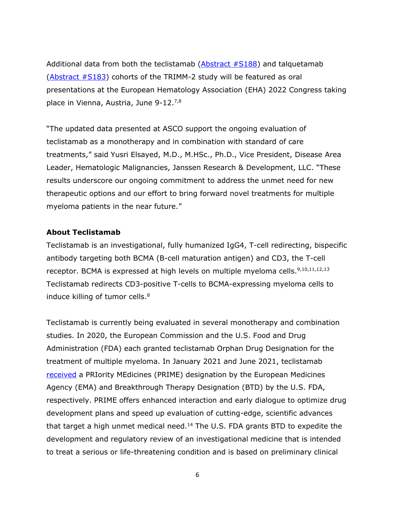Additional data from both the teclistamab  $(Abstruct #S188)$  and talquetamab [\(Abstract #S183\)](https://library.ehaweb.org/eha/2022/eha2022-congress/357047/niels.wjc.van.de.donk.novel.combination.immunotherapy.for.the.treatment.of.html) cohorts of the TRIMM-2 study will be featured as oral presentations at the European Hematology Association (EHA) 2022 Congress taking place in Vienna, Austria, June 9-12.7,8

"The updated data presented at ASCO support the ongoing evaluation of teclistamab as a monotherapy and in combination with standard of care treatments," said Yusri Elsayed, M.D., M.HSc., Ph.D., Vice President, Disease Area Leader, Hematologic Malignancies, Janssen Research & Development, LLC. "These results underscore our ongoing commitment to address the unmet need for new therapeutic options and our effort to bring forward novel treatments for multiple myeloma patients in the near future."

#### **About Teclistamab**

Teclistamab is an investigational, fully humanized IgG4, T-cell redirecting, bispecific antibody targeting both BCMA (B-cell maturation antigen) and CD3, the T-cell receptor. BCMA is expressed at high levels on multiple myeloma cells.<sup>9,10,11,12,13</sup> Teclistamab redirects CD3-positive T-cells to BCMA-expressing myeloma cells to induce killing of tumor cells.<sup>8</sup>

Teclistamab is currently being evaluated in several monotherapy and combination studies. In 2020, the European Commission and the U.S. Food and Drug Administration (FDA) each granted teclistamab Orphan Drug Designation for the treatment of multiple myeloma. In January 2021 and June 2021, teclistamab [received](https://www.janssen.com/janssen-submits-biologics-license-application-us-fda-seeking-approval-teclistamab-treatment-patients) a PRIority MEdicines (PRIME) designation by the European Medicines Agency (EMA) and Breakthrough Therapy Designation (BTD) by the U.S. FDA, respectively. PRIME offers enhanced interaction and early dialogue to optimize drug development plans and speed up evaluation of cutting-edge, scientific advances that target a high unmet medical need.<sup>14</sup> The U.S. FDA grants BTD to expedite the development and regulatory review of an investigational medicine that is intended to treat a serious or life-threatening condition and is based on preliminary clinical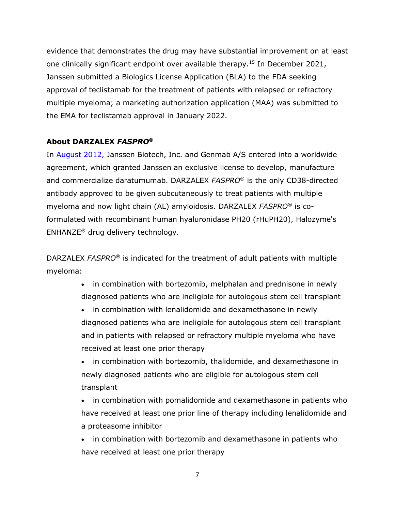evidence that demonstrates the drug may have substantial improvement on at least one clinically significant endpoint over available therapy.<sup>15</sup> In December 2021, Janssen submitted a Biologics License Application (BLA) to the FDA seeking approval of teclistamab for the treatment of patients with relapsed or refractory multiple myeloma; a marketing authorization application (MAA) was submitted to the EMA for teclistamab approval in January 2022.

## **About DARZALEX** *FASPRO***®**

In [August 2012,](https://www.jnj.com/media-center/press-releases/janssen-biotech-announces-global-license-and-development-agreement-for-investigational-anti-cancer-agent-daratumumab) Janssen Biotech, Inc. and Genmab A/S entered into a worldwide agreement, which granted Janssen an exclusive license to develop, manufacture and commercialize daratumumab. DARZALEX *FASPRO*® is the only CD38-directed antibody approved to be given subcutaneously to treat patients with multiple myeloma and now light chain (AL) amyloidosis. DARZALEX *FASPRO*® is coformulated with recombinant human hyaluronidase PH20 (rHuPH20), Halozyme's ENHANZE® drug delivery technology.

DARZALEX *FASPRO*® is indicated for the treatment of adult patients with multiple myeloma:

- in combination with bortezomib, melphalan and prednisone in newly diagnosed patients who are ineligible for autologous stem cell transplant
- in combination with lenalidomide and dexamethasone in newly diagnosed patients who are ineligible for autologous stem cell transplant and in patients with relapsed or refractory multiple myeloma who have received at least one prior therapy
- in combination with bortezomib, thalidomide, and dexamethasone in newly diagnosed patients who are eligible for autologous stem cell transplant
- in combination with pomalidomide and dexamethasone in patients who have received at least one prior line of therapy including lenalidomide and a proteasome inhibitor

• in combination with bortezomib and dexamethasone in patients who have received at least one prior therapy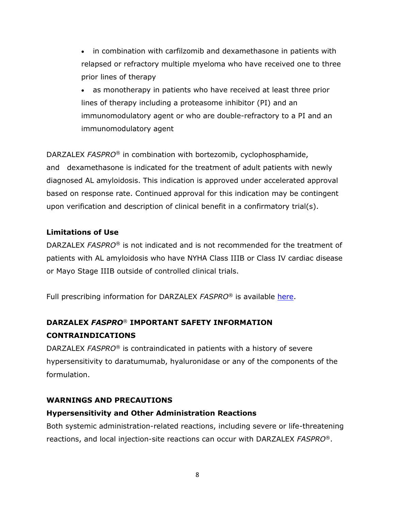- in combination with carfilzomib and dexamethasone in patients with relapsed or refractory multiple myeloma who have received one to three prior lines of therapy
- as monotherapy in patients who have received at least three prior lines of therapy including a proteasome inhibitor (PI) and an immunomodulatory agent or who are double-refractory to a PI and an immunomodulatory agent

DARZALEX *FASPRO*® in combination with bortezomib, cyclophosphamide, and dexamethasone is indicated for the treatment of adult patients with newly diagnosed AL amyloidosis. This indication is approved under accelerated approval based on response rate. Continued approval for this indication may be contingent upon verification and description of clinical benefit in a confirmatory trial(s).

### **Limitations of Use**

DARZALEX *FASPRO*® is not indicated and is not recommended for the treatment of patients with AL amyloidosis who have NYHA Class IIIB or Class IV cardiac disease or Mayo Stage IIIB outside of controlled clinical trials.

Full prescribing information for DARZALEX *FASPRO*® is available [here.](https://www.janssenlabels.com/package-insert/product-monograph/prescribing-information/DARZALEX+Faspro-pi.pdf)

# **DARZALEX** *FASPRO*® **IMPORTANT SAFETY INFORMATION CONTRAINDICATIONS**

DARZALEX *FASPRO*® is contraindicated in patients with a history of severe hypersensitivity to daratumumab, hyaluronidase or any of the components of the formulation.

### **WARNINGS AND PRECAUTIONS**

### **Hypersensitivity and Other Administration Reactions**

Both systemic administration-related reactions, including severe or life-threatening reactions, and local injection-site reactions can occur with DARZALEX *FASPRO*®.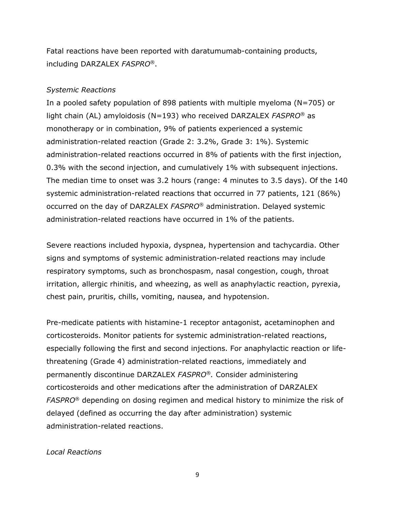Fatal reactions have been reported with daratumumab-containing products, including DARZALEX *FASPRO*®.

### *Systemic Reactions*

In a pooled safety population of 898 patients with multiple myeloma (N=705) or light chain (AL) amyloidosis (N=193) who received DARZALEX *FASPRO*® as monotherapy or in combination, 9% of patients experienced a systemic administration-related reaction (Grade 2: 3.2%, Grade 3: 1%). Systemic administration-related reactions occurred in 8% of patients with the first injection, 0.3% with the second injection, and cumulatively 1% with subsequent injections. The median time to onset was 3.2 hours (range: 4 minutes to 3.5 days). Of the 140 systemic administration-related reactions that occurred in 77 patients, 121 (86%) occurred on the day of DARZALEX *FASPRO*® administration. Delayed systemic administration-related reactions have occurred in 1% of the patients.

Severe reactions included hypoxia, dyspnea, hypertension and tachycardia. Other signs and symptoms of systemic administration-related reactions may include respiratory symptoms, such as bronchospasm, nasal congestion, cough, throat irritation, allergic rhinitis, and wheezing, as well as anaphylactic reaction, pyrexia, chest pain, pruritis, chills, vomiting, nausea, and hypotension.

Pre-medicate patients with histamine-1 receptor antagonist, acetaminophen and corticosteroids. Monitor patients for systemic administration-related reactions, especially following the first and second injections. For anaphylactic reaction or lifethreatening (Grade 4) administration-related reactions, immediately and permanently discontinue DARZALEX *FASPRO*®*.* Consider administering corticosteroids and other medications after the administration of DARZALEX *FASPRO*® depending on dosing regimen and medical history to minimize the risk of delayed (defined as occurring the day after administration) systemic administration-related reactions.

### *Local Reactions*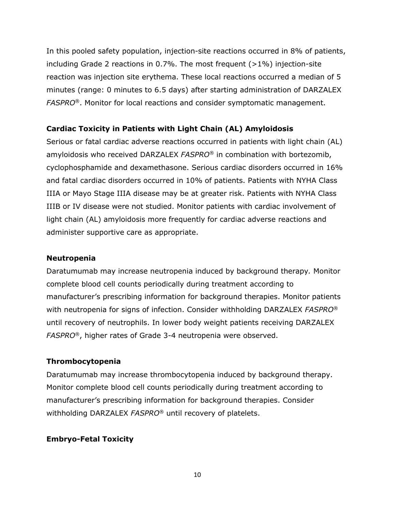In this pooled safety population, injection-site reactions occurred in 8% of patients, including Grade 2 reactions in 0.7%. The most frequent  $(>1%)$  injection-site reaction was injection site erythema. These local reactions occurred a median of 5 minutes (range: 0 minutes to 6.5 days) after starting administration of DARZALEX *FASPRO*®. Monitor for local reactions and consider symptomatic management.

#### **Cardiac Toxicity in Patients with Light Chain (AL) Amyloidosis**

Serious or fatal cardiac adverse reactions occurred in patients with light chain (AL) amyloidosis who received DARZALEX *FASPRO*® in combination with bortezomib, cyclophosphamide and dexamethasone. Serious cardiac disorders occurred in 16% and fatal cardiac disorders occurred in 10% of patients. Patients with NYHA Class IIIA or Mayo Stage IIIA disease may be at greater risk. Patients with NYHA Class IIIB or IV disease were not studied. Monitor patients with cardiac involvement of light chain (AL) amyloidosis more frequently for cardiac adverse reactions and administer supportive care as appropriate.

### **Neutropenia**

Daratumumab may increase neutropenia induced by background therapy*.* Monitor complete blood cell counts periodically during treatment according to manufacturer's prescribing information for background therapies. Monitor patients with neutropenia for signs of infection. Consider withholding DARZALEX *FASPRO*® until recovery of neutrophils. In lower body weight patients receiving DARZALEX *FASPRO*®, higher rates of Grade 3-4 neutropenia were observed.

### **Thrombocytopenia**

Daratumumab may increase thrombocytopenia induced by background therapy. Monitor complete blood cell counts periodically during treatment according to manufacturer's prescribing information for background therapies. Consider withholding DARZALEX *FASPRO*® until recovery of platelets.

### **Embryo-Fetal Toxicity**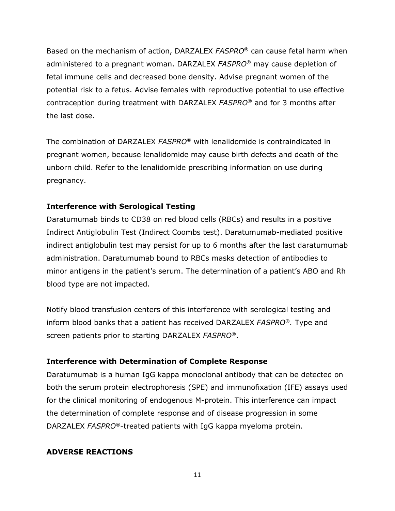Based on the mechanism of action, DARZALEX *FASPRO*® can cause fetal harm when administered to a pregnant woman. DARZALEX *FASPRO*® may cause depletion of fetal immune cells and decreased bone density. Advise pregnant women of the potential risk to a fetus. Advise females with reproductive potential to use effective contraception during treatment with DARZALEX *FASPRO*® and for 3 months after the last dose.

The combination of DARZALEX *FASPRO*® with lenalidomide is contraindicated in pregnant women, because lenalidomide may cause birth defects and death of the unborn child. Refer to the lenalidomide prescribing information on use during pregnancy.

### **Interference with Serological Testing**

Daratumumab binds to CD38 on red blood cells (RBCs) and results in a positive Indirect Antiglobulin Test (Indirect Coombs test). Daratumumab-mediated positive indirect antiglobulin test may persist for up to 6 months after the last daratumumab administration. Daratumumab bound to RBCs masks detection of antibodies to minor antigens in the patient's serum. The determination of a patient's ABO and Rh blood type are not impacted.

Notify blood transfusion centers of this interference with serological testing and inform blood banks that a patient has received DARZALEX *FASPRO*®*.* Type and screen patients prior to starting DARZALEX *FASPRO*®.

### **Interference with Determination of Complete Response**

Daratumumab is a human IgG kappa monoclonal antibody that can be detected on both the serum protein electrophoresis (SPE) and immunofixation (IFE) assays used for the clinical monitoring of endogenous M-protein. This interference can impact the determination of complete response and of disease progression in some DARZALEX *FASPRO*®-treated patients with IgG kappa myeloma protein.

#### **ADVERSE REACTIONS**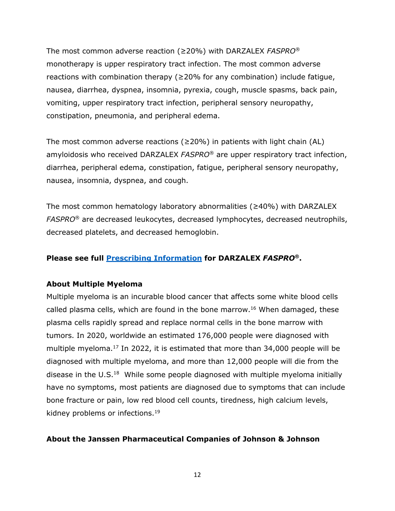The most common adverse reaction (≥20%) with DARZALEX *FASPRO*® monotherapy is upper respiratory tract infection. The most common adverse reactions with combination therapy ( $\geq$ 20% for any combination) include fatigue, nausea, diarrhea, dyspnea, insomnia, pyrexia, cough, muscle spasms, back pain, vomiting, upper respiratory tract infection, peripheral sensory neuropathy, constipation, pneumonia, and peripheral edema.

The most common adverse reactions ( $\geq$ 20%) in patients with light chain (AL) amyloidosis who received DARZALEX *FASPRO*® are upper respiratory tract infection, diarrhea, peripheral edema, constipation, fatigue, peripheral sensory neuropathy, nausea, insomnia, dyspnea, and cough.

The most common hematology laboratory abnormalities ( $\geq$ 40%) with DARZALEX *FASPRO*® are decreased leukocytes, decreased lymphocytes, decreased neutrophils, decreased platelets, and decreased hemoglobin.

## **Please see full [Prescribing Information](https://www.janssenlabels.com/package-insert/product-monograph/prescribing-information/DARZALEX+Faspro-pi.pdf) for DARZALEX** *FASPRO***®.**

### **About Multiple Myeloma**

Multiple myeloma is an incurable blood cancer that affects some white blood cells called plasma cells, which are found in the bone marrow.<sup>16</sup> When damaged, these plasma cells rapidly spread and replace normal cells in the bone marrow with tumors. In 2020, worldwide an estimated 176,000 people were diagnosed with multiple myeloma.<sup>17</sup> In 2022, it is estimated that more than 34,000 people will be diagnosed with multiple myeloma, and more than 12,000 people will die from the disease in the U.S. $<sup>18</sup>$  While some people diagnosed with multiple myeloma initially</sup> have no symptoms, most patients are diagnosed due to symptoms that can include bone fracture or pain, low red blood cell counts, tiredness, high calcium levels, kidney problems or infections.<sup>19</sup>

#### **About the Janssen Pharmaceutical Companies of Johnson & Johnson**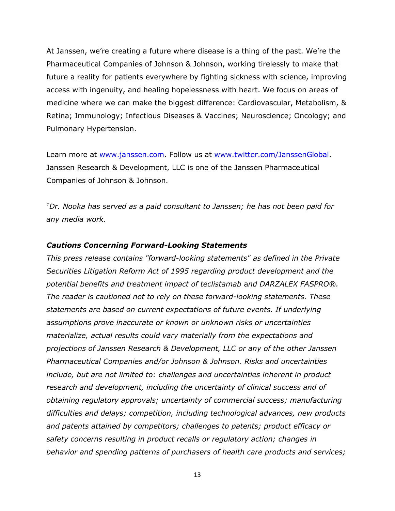At Janssen, we're creating a future where disease is a thing of the past. We're the Pharmaceutical Companies of Johnson & Johnson, working tirelessly to make that future a reality for patients everywhere by fighting sickness with science, improving access with ingenuity, and healing hopelessness with heart. We focus on areas of medicine where we can make the biggest difference: Cardiovascular, Metabolism, & Retina; Immunology; Infectious Diseases & Vaccines; Neuroscience; Oncology; and Pulmonary Hypertension.

Learn more at [www.janssen.com.](https://nam12.safelinks.protection.outlook.com/?url=http%3A%2F%2Fwww.janssen.com%2F&data=05%7C01%7CJulia.Entwistle%40edelman.com%7C2f730c5028b84caba3f208da3b4292ee%7Cb824bfb3918e43c2bb1cdcc1ba40a82b%7C0%7C0%7C637887454386204582%7CUnknown%7CTWFpbGZsb3d8eyJWIjoiMC4wLjAwMDAiLCJQIjoiV2luMzIiLCJBTiI6Ik1haWwiLCJXVCI6Mn0%3D%7C3000%7C%7C%7C&sdata=6sWXIUDiP2SSzyTvnSSvII1QX0JYVhUXAqMNRvtaI6I%3D&reserved=0) Follow us at [www.twitter.com/JanssenGlobal.](https://nam12.safelinks.protection.outlook.com/?url=http%3A%2F%2Fwww.twitter.com%2FJanssenGlobal&data=05%7C01%7CJulia.Entwistle%40edelman.com%7C2f730c5028b84caba3f208da3b4292ee%7Cb824bfb3918e43c2bb1cdcc1ba40a82b%7C0%7C0%7C637887454386204582%7CUnknown%7CTWFpbGZsb3d8eyJWIjoiMC4wLjAwMDAiLCJQIjoiV2luMzIiLCJBTiI6Ik1haWwiLCJXVCI6Mn0%3D%7C3000%7C%7C%7C&sdata=5Hj%2BQ%2FvGPhz%2FN%2F%2B7%2F2sk%2Bk4MvP1dj%2FE3%2F9hVxYD%2B0Wo%3D&reserved=0) Janssen Research & Development, LLC is one of the Janssen Pharmaceutical Companies of Johnson & Johnson.

*‡Dr. Nooka has served as a paid consultant to Janssen; he has not been paid for any media work.*

#### *Cautions Concerning Forward-Looking Statements*

*This press release contains "forward-looking statements" as defined in the Private Securities Litigation Reform Act of 1995 regarding product development and the potential benefits and treatment impact of teclistamab* a*nd DARZALEX FASPRO®. The reader is cautioned not to rely on these forward-looking statements. These statements are based on current expectations of future events. If underlying assumptions prove inaccurate or known or unknown risks or uncertainties materialize, actual results could vary materially from the expectations and projections of Janssen Research & Development, LLC or any of the other Janssen Pharmaceutical Companies and/or Johnson & Johnson. Risks and uncertainties include, but are not limited to: challenges and uncertainties inherent in product research and development, including the uncertainty of clinical success and of obtaining regulatory approvals; uncertainty of commercial success; manufacturing difficulties and delays; competition, including technological advances, new products and patents attained by competitors; challenges to patents; product efficacy or safety concerns resulting in product recalls or regulatory action; changes in behavior and spending patterns of purchasers of health care products and services;*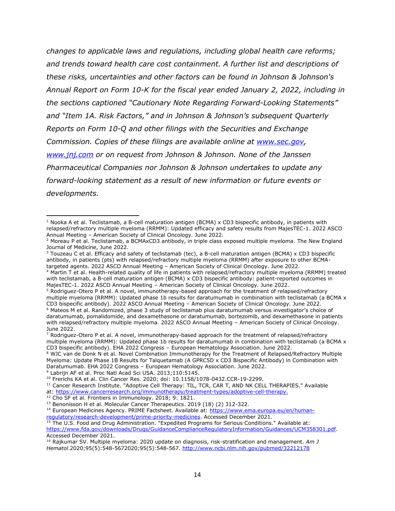*changes to applicable laws and regulations, including global health care reforms; and trends toward health care cost containment. A further list and descriptions of these risks, uncertainties and other factors can be found in Johnson & Johnson's Annual Report on Form 10-K for the fiscal year ended January 2, 2022, including in the sections captioned "Cautionary Note Regarding Forward-Looking Statements" and "Item 1A. Risk Factors," and in Johnson & Johnson's subsequent Quarterly Reports on Form 10-Q and other filings with the Securities and Exchange Commission. Copies of these filings are available online at [www.sec.gov,](http://www.sec.gov/) [www.jnj.com](http://www.jnj.com/) or on request from Johnson & Johnson. None of the Janssen Pharmaceutical Companies nor Johnson & Johnson undertakes to update any forward-looking statement as a result of new information or future events or developments.*

<sup>&</sup>lt;sup>1</sup> Nooka A et al. Teclistamab, a B-cell maturation antigen (BCMA) x CD3 bispecific antibody, in patients with relapsed/refractory multiple myeloma (RRMM): Updated efficacy and safety results from MajesTEC-1. 2022 ASCO Annual Meeting – American Society of Clinical Oncology. June 2022.

<sup>&</sup>lt;sup>2</sup> Moreau P et al. Teclistamab, a BCMAxCD3 antibody, in triple class exposed multiple myeloma. The New England Journal of Medicine, June 2022.

 $3$  Touzeau C et al. Efficacy and safety of teclistamab (tec), a B-cell maturation antigen (BCMA) x CD3 bispecific antibody, in patients (pts) with relapsed/refractory multiple myeloma (RRMM) after exposure to other BCMAtargeted agents. 2022 ASCO Annual Meeting – American Society of Clinical Oncology. June 2022.

<sup>4</sup> Martin T et al. Health-related quality of life in patients with relapsed/refractory multiple myeloma (RRMM) treated with teclistamab, a B-cell maturation antigen (BCMA) x CD3 bispecific antibody: patient-reported outcomes in MajesTEC-1. 2022 ASCO Annual Meeting – American Society of Clinical Oncology. June 2022.

<sup>5</sup> Rodriguez-Otero P et al. A novel, immunotherapy-based approach for the treatment of relapsed/refractory multiple myeloma (RRMM): Updated phase 1b results for daratumumab in combination with teclistamab (a BCMA x CD3 bispecific antibody). 2022 ASCO Annual Meeting – American Society of Clinical Oncology. June 2022. <sup>6</sup> Mateos M et al. Randomized, phase 3 study of teclistamab plus daratumumab versus investigator's choice of daratumumab, pomalidomide, and dexamethasone or daratumumab, bortezomib, and dexamethasone in patients with relapsed/refractory multiple myeloma. 2022 ASCO Annual Meeting – American Society of Clinical Oncology. June 2022.

 $7$  Rodriguez-Otero P et al. A novel, immunotherapy-based approach for the treatment of relapsed/refractory multiple myeloma (RRMM): Updated phase 1b results for daratumumab in combination with teclistamab (a BCMA x CD3 bispecific antibody). EHA 2022 Congress – European Hematology Association. June 2022.

<sup>&</sup>lt;sup>8</sup> WJC van de Donk N et al. Novel Combination Immunotherapy for the Treatment of Relapsed/Refractory Multiple Myeloma: Update Phase 1B Results for Talquetamab (A GPRC5D x CD3 Bispecific Antibody) in Combination with Daratumumab. EHA 2022 Congress – European Hematology Association. June 2022.

<sup>&</sup>lt;sup>9</sup> Labrijn AF et al. Proc Natl Acad Sci USA. 2013;110:5145.

<sup>10</sup> Frerichs KA et al. Clin Cancer Res. 2020; doi: 10.1158/1078-0432.CCR-19-2299.

<sup>&</sup>lt;sup>11</sup> Cancer Research Institute. "Adoptive Cell Therapy: TIL, TCR, CAR T, AND NK CELL THERAPIES." Available at: [https://www.cancerresearch.org/immunotherapy/treatment-types/adoptive-cell-therapy.](https://www.cancerresearch.org/immunotherapy/treatment-types/adoptive-cell-therapy)

<sup>&</sup>lt;sup>12</sup> Cho SF et al. Frontiers in Immunology. 2018; 9: 1821.

<sup>&</sup>lt;sup>13</sup> Benonisson H et al. Molecular Cancer Therapeutics. 2019 (18) (2) 312-322.

<sup>&</sup>lt;sup>14</sup> European Medicines Agency. PRIME Factsheet. Available at: [https://www.ema.europa.eu/en/human](https://www.ema.europa.eu/en/human-regulatory/research-development/prime-priority-medicines)[regulatory/research-development/prime-priority-medicines.](https://www.ema.europa.eu/en/human-regulatory/research-development/prime-priority-medicines) Accessed December 2021.

<sup>&</sup>lt;sup>15</sup> The U.S. Food and Drug Administration. "Expedited Programs for Serious Conditions." Available at: [https://www.fda.gov/downloads/Drugs/GuidanceComplianceRegulatoryInformation/Guidances/UCM358301.pdf.](https://www.fda.gov/downloads/Drugs/GuidanceComplianceRegulatoryInformation/Guidances/UCM358301.pdf) Accessed December 2021.

<sup>16</sup> Rajkumar SV. Multiple myeloma: 2020 update on diagnosis, risk-stratification and management. *Am J Hematol*.2020;95(5):548-5672020;95(5):548-567.<http://www.ncbi.nlm.nih.gov/pubmed/32212178>